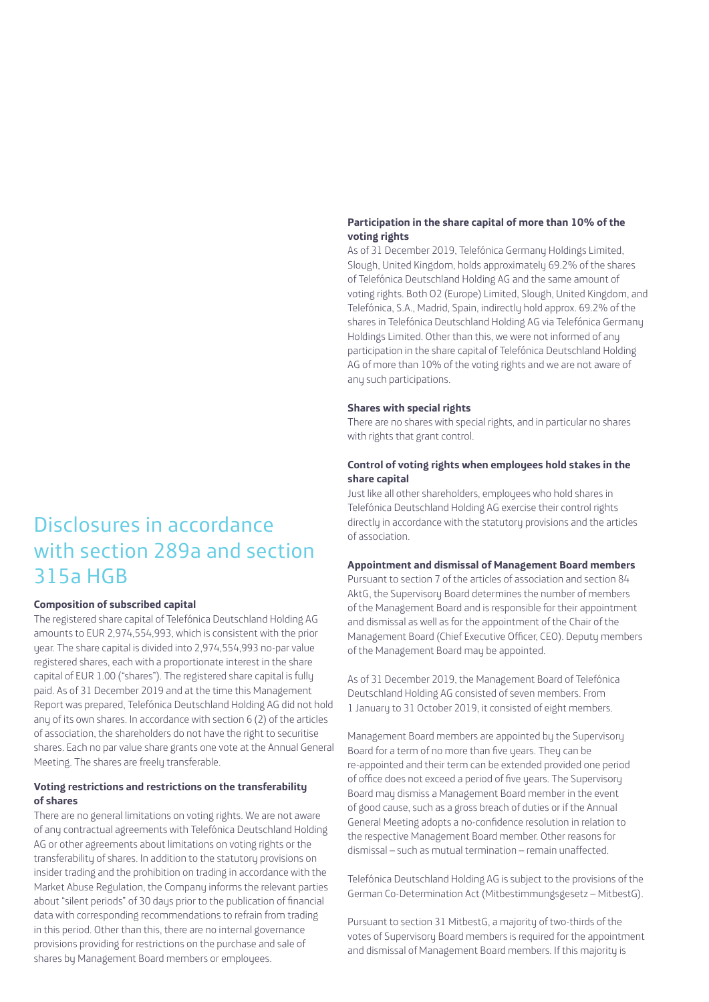# **Participation in the share capital of more than 10% of the voting rights**

As of 31 December 2019, Telefónica Germany Holdings Limited, Slough, United Kingdom, holds approximately 69.2% of the shares of Telefónica Deutschland Holding AG and the same amount of voting rights. Both O2 (Europe) Limited, Slough, United Kingdom, and Telefónica, S.A., Madrid, Spain, indirectly hold approx. 69.2% of the shares in Telefónica Deutschland Holding AG via Telefónica Germany Holdings Limited. Other than this, we were not informed of any participation in the share capital of Telefónica Deutschland Holding AG of more than 10% of the voting rights and we are not aware of any such participations.

#### **Shares with special rights**

There are no shares with special rights, and in particular no shares with rights that grant control.

# **Control of voting rights when employees hold stakes in the share capital**

Just like all other shareholders, employees who hold shares in Telefónica Deutschland Holding AG exercise their control rights directly in accordance with the statutory provisions and the articles of association.

#### **Appointment and dismissal of Management Board members**

Pursuant to section 7 of the articles of association and section 84 AktG, the Supervisory Board determines the number of members of the Management Board and is responsible for their appointment and dismissal as well as for the appointment of the Chair of the Management Board (Chief Executive Officer, CEO). Deputy members of the Management Board may be appointed.

As of 31 December 2019, the Management Board of Telefónica Deutschland Holding AG consisted of seven members. From 1 January to 31 October 2019, it consisted of eight members.

Management Board members are appointed by the Supervisory Board for a term of no more than five years. They can be re-appointed and their term can be extended provided one period of office does not exceed a period of five years. The Supervisory Board may dismiss a Management Board member in the event of good cause, such as a gross breach of duties or if the Annual General Meeting adopts a no-confidence resolution in relation to the respective Management Board member. Other reasons for dismissal – such as mutual termination – remain unaffected.

Telefónica Deutschland Holding AG is subject to the provisions of the German Co-Determination Act (Mitbestimmungsgesetz – MitbestG).

Pursuant to section 31 MitbestG, a majority of two-thirds of the votes of Supervisory Board members is required for the appointment and dismissal of Management Board members. If this majority is

# Disclosures in accordance with section 289a and section 315a HGB

# **Composition of subscribed capital**

The registered share capital of Telefónica Deutschland Holding AG amounts to EUR 2,974,554,993, which is consistent with the prior year. The share capital is divided into 2,974,554,993 no-par value registered shares, each with a proportionate interest in the share capital of EUR 1.00 ("shares"). The registered share capital is fully paid. As of 31 December 2019 and at the time this Management Report was prepared, Telefónica Deutschland Holding AG did not hold any of its own shares. In accordance with section 6 (2) of the articles of association, the shareholders do not have the right to securitise shares. Each no par value share grants one vote at the Annual General Meeting. The shares are freely transferable.

# **Voting restrictions and restrictions on the transferability of shares**

There are no general limitations on voting rights. We are not aware of any contractual agreements with Telefónica Deutschland Holding AG or other agreements about limitations on voting rights or the transferability of shares. In addition to the statutory provisions on insider trading and the prohibition on trading in accordance with the Market Abuse Regulation, the Company informs the relevant parties about "silent periods" of 30 days prior to the publication of financial data with corresponding recommendations to refrain from trading in this period. Other than this, there are no internal governance provisions providing for restrictions on the purchase and sale of shares by Management Board members or employees.